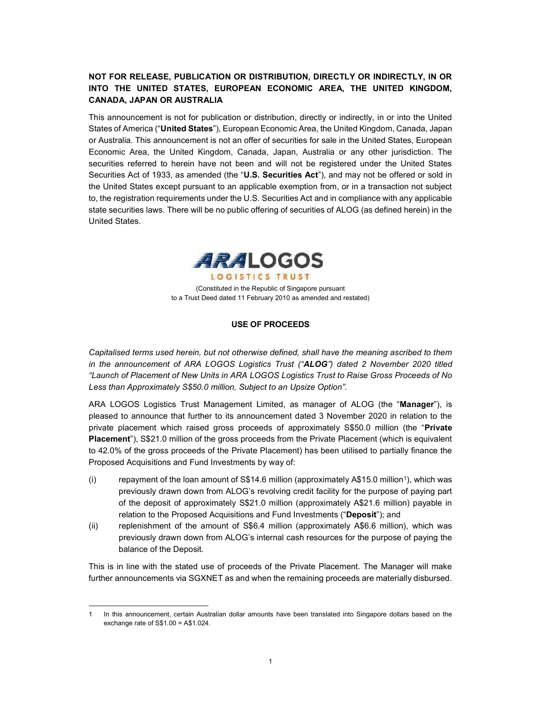# NOT FOR RELEASE, PUBLICATION OR DISTRIBUTION, DIRECTLY OR INDIRECTLY, IN OR INTO THE UNITED STATES, EUROPEAN ECONOMIC AREA, THE UNITED KINGDOM, CANADA, JAPAN OR AUSTRALIA

This announcement is not for publication or distribution, directly or indirectly, in or into the United States of America ("United States"), European Economic Area, the United Kingdom, Canada, Japan or Australia. This announcement is not an offer of securities for sale in the United States, European Economic Area, the United Kingdom, Canada, Japan, Australia or any other jurisdiction. The securities referred to herein have not been and will not be registered under the United States Securities Act of 1933, as amended (the "U.S. Securities Act"), and may not be offered or sold in the United States except pursuant to an applicable exemption from, or in a transaction not subject to, the registration requirements under the U.S. Securities Act and in compliance with any applicable state securities laws. There will be no public offering of securities of ALOG (as defined herein) in the United States.



(Constituted in the Republic of Singapore pursuant to a Trust Deed dated 11 February 2010 as amended and restated)

### USE OF PROCEEDS

Capitalised terms used herein, but not otherwise defined, shall have the meaning ascribed to them in the announcement of ARA LOGOS Logistics Trust ("ALOG") dated 2 November 2020 titled "Launch of Placement of New Units in ARA LOGOS Logistics Trust to Raise Gross Proceeds of No Less than Approximately S\$50.0 million, Subject to an Upsize Option".

ARA LOGOS Logistics Trust Management Limited, as manager of ALOG (the "Manager"), is pleased to announce that further to its announcement dated 3 November 2020 in relation to the private placement which raised gross proceeds of approximately S\$50.0 million (the "Private Placement"), S\$21.0 million of the gross proceeds from the Private Placement (which is equivalent to 42.0% of the gross proceeds of the Private Placement) has been utilised to partially finance the Proposed Acquisitions and Fund Investments by way of:

- (i) repayment of the loan amount of S\$14.6 million (approximately A\$15.0 million<sup>1</sup>), which was previously drawn down from ALOG's revolving credit facility for the purpose of paying part of the deposit of approximately S\$21.0 million (approximately A\$21.6 million) payable in relation to the Proposed Acquisitions and Fund Investments ("Deposit"); and
- (ii) replenishment of the amount of S\$6.4 million (approximately A\$6.6 million), which was previously drawn down from ALOG's internal cash resources for the purpose of paying the balance of the Deposit.

This is in line with the stated use of proceeds of the Private Placement. The Manager will make further announcements via SGXNET as and when the remaining proceeds are materially disbursed.

 $\overline{a}$ 

In this announcement, certain Australian dollar amounts have been translated into Singapore dollars based on the exchange rate of S\$1.00 = A\$1.024.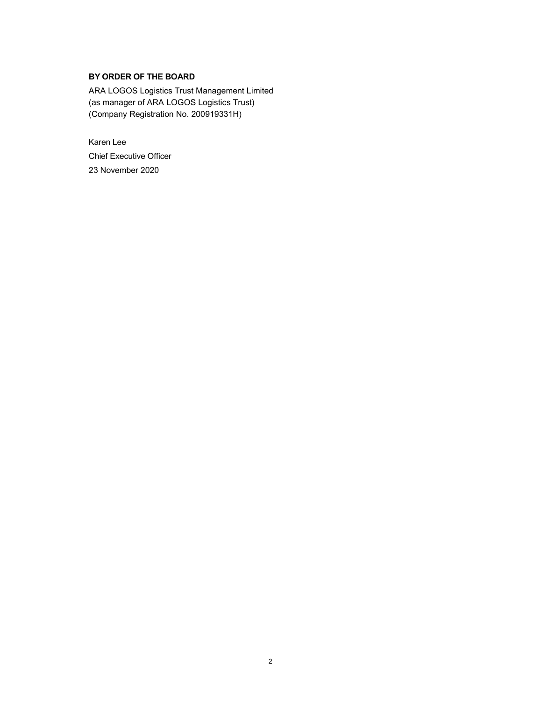# BY ORDER OF THE BOARD

ARA LOGOS Logistics Trust Management Limited (as manager of ARA LOGOS Logistics Trust) (Company Registration No. 200919331H)

Karen Lee Chief Executive Officer 23 November 2020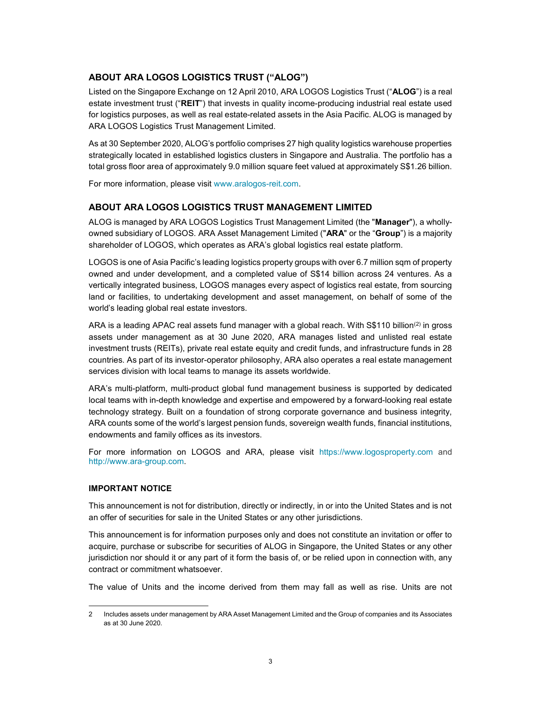## ABOUT ARA LOGOS LOGISTICS TRUST ("ALOG")

Listed on the Singapore Exchange on 12 April 2010, ARA LOGOS Logistics Trust ("ALOG") is a real estate investment trust ("REIT") that invests in quality income-producing industrial real estate used for logistics purposes, as well as real estate-related assets in the Asia Pacific. ALOG is managed by ARA LOGOS Logistics Trust Management Limited.

As at 30 September 2020, ALOG's portfolio comprises 27 high quality logistics warehouse properties strategically located in established logistics clusters in Singapore and Australia. The portfolio has a total gross floor area of approximately 9.0 million square feet valued at approximately S\$1.26 billion.

For more information, please visit www.aralogos-reit.com.

### ABOUT ARA LOGOS LOGISTICS TRUST MANAGEMENT LIMITED

ALOG is managed by ARA LOGOS Logistics Trust Management Limited (the "Manager"), a whollyowned subsidiary of LOGOS. ARA Asset Management Limited ("ARA" or the "Group") is a majority shareholder of LOGOS, which operates as ARA's global logistics real estate platform.

LOGOS is one of Asia Pacific's leading logistics property groups with over 6.7 million sqm of property owned and under development, and a completed value of S\$14 billion across 24 ventures. As a vertically integrated business, LOGOS manages every aspect of logistics real estate, from sourcing land or facilities, to undertaking development and asset management, on behalf of some of the world's leading global real estate investors.

ARA is a leading APAC real assets fund manager with a global reach. With S\$110 billion<sup>(2)</sup> in gross assets under management as at 30 June 2020, ARA manages listed and unlisted real estate investment trusts (REITs), private real estate equity and credit funds, and infrastructure funds in 28 countries. As part of its investor-operator philosophy, ARA also operates a real estate management services division with local teams to manage its assets worldwide.

ARA's multi-platform, multi-product global fund management business is supported by dedicated local teams with in-depth knowledge and expertise and empowered by a forward-looking real estate technology strategy. Built on a foundation of strong corporate governance and business integrity, ARA counts some of the world's largest pension funds, sovereign wealth funds, financial institutions, endowments and family offices as its investors.

For more information on LOGOS and ARA, please visit https://www.logosproperty.com and http://www.ara-group.com.

#### IMPORTANT NOTICE

 $\overline{a}$ 

This announcement is not for distribution, directly or indirectly, in or into the United States and is not an offer of securities for sale in the United States or any other jurisdictions.

This announcement is for information purposes only and does not constitute an invitation or offer to acquire, purchase or subscribe for securities of ALOG in Singapore, the United States or any other jurisdiction nor should it or any part of it form the basis of, or be relied upon in connection with, any contract or commitment whatsoever.

The value of Units and the income derived from them may fall as well as rise. Units are not

<sup>2</sup> Includes assets under management by ARA Asset Management Limited and the Group of companies and its Associates as at 30 June 2020.